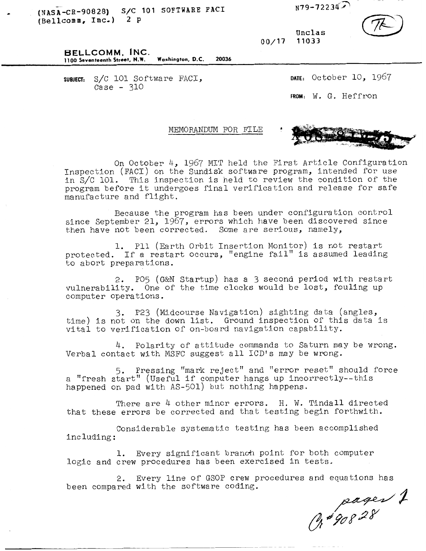\* **(NASA-CB-90828)** *SIC* **301 SOFTWARE PAC1 U9-722343 (Bellcornla, Inc.)** 2 **p** 

**Unclas**  00/17

**BELLCOMM, INC. 1100 Seventeenth Street, N.W. Washington, D.C. 20036** 

**SUBJECT:** S/C 101 Software FACI,  $Case - 310$ 

**DATE:** October 10, 1957 **FROM:** W. G. Heffron

MEMORANDUM FOR FILE



On October 4, 1967 MIT held the First Article Configuration Inspection (FACI) on the Sundisk software program, intended for use in S/C 101. This inspection is held to review the condition of the program before it undergoes final verification and release for safe manufacture and flight.

Because the program has been under configuration control since September 21, 1967, errors which have been discovered since then have not been corrected. Some are serious, namely,

protected. If a restart occurs, "engine fail" is assumed leading to abort preparations. 1. P11 (Earth Orbit Insertion Monitor) is not restart

vulnerability. One of the time clocks would be lost, fouling up computer operations. 2. PO5 (G&N Startup) has a 3 second period with restart

3. P23 (Midcourse Navigation) sighting data (angles, time) is not on the down list. Ground inspection of this data is vital to verification of on-board navigation capability.

Verbal contact with MSFC suggest all ICD's may be wrong. 4. Polarity of attitude commands to Saturn may be wrong.

5. Pressing "mark reject" and "error reset" should force a "fresh start" (Useful if computer hangs up incorrectly--this happened on pad with AS-501) but nothing happens.

There are 4 other minor errors. H. W. Tindall directed that these errors be corrected and that testing begin forthwith.

Considerable systematic testing has been accomplished including :

1. Every significant branch point for both computer logic and crew procedures has been exercised in tests.

2. Every line of GSOP crew procedures and equations has been compared with the software coding.

pages 1